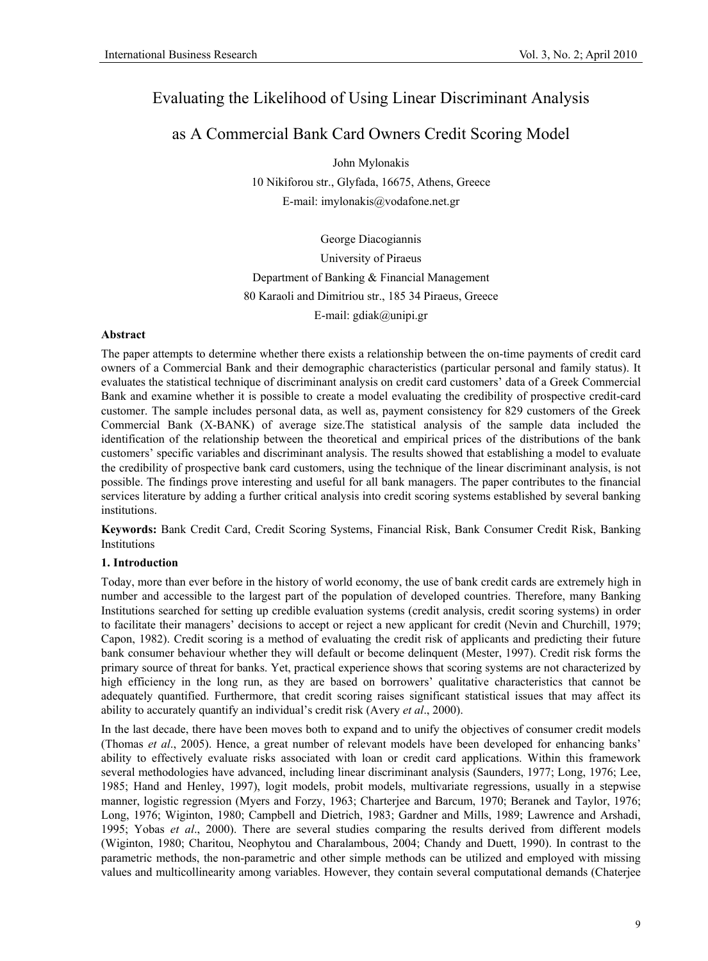# Evaluating the Likelihood of Using Linear Discriminant Analysis

## as A Commercial Bank Card Owners Credit Scoring Model

John Mylonakis 10 Nikiforou str., Glyfada, 16675, Athens, Greece E-mail: imylonakis@vodafone.net.gr

George Diacogiannis University of Piraeus Department of Banking & Financial Management 80 Karaoli and Dimitriou str., 185 34 Piraeus, Greece E-mail: gdiak@unipi.gr

#### **Abstract**

The paper attempts to determine whether there exists a relationship between the on-time payments of credit card owners of a Commercial Bank and their demographic characteristics (particular personal and family status). It evaluates the statistical technique of discriminant analysis on credit card customers' data of a Greek Commercial Bank and examine whether it is possible to create a model evaluating the credibility of prospective credit-card customer. The sample includes personal data, as well as, payment consistency for 829 customers of the Greek Commercial Bank (X-BANK) of average size.The statistical analysis of the sample data included the identification of the relationship between the theoretical and empirical prices of the distributions of the bank customers' specific variables and discriminant analysis. The results showed that establishing a model to evaluate the credibility of prospective bank card customers, using the technique of the linear discriminant analysis, is not possible. The findings prove interesting and useful for all bank managers. The paper contributes to the financial services literature by adding a further critical analysis into credit scoring systems established by several banking institutions.

**Keywords:** Bank Credit Card, Credit Scoring Systems, Financial Risk, Bank Consumer Credit Risk, Banking Institutions

#### **1. Introduction**

Today, more than ever before in the history of world economy, the use of bank credit cards are extremely high in number and accessible to the largest part of the population of developed countries. Therefore, many Banking Institutions searched for setting up credible evaluation systems (credit analysis, credit scoring systems) in order to facilitate their managers' decisions to accept or reject a new applicant for credit (Nevin and Churchill, 1979; Capon, 1982). Credit scoring is a method of evaluating the credit risk of applicants and predicting their future bank consumer behaviour whether they will default or become delinquent (Mester, 1997). Credit risk forms the primary source of threat for banks. Yet, practical experience shows that scoring systems are not characterized by high efficiency in the long run, as they are based on borrowers' qualitative characteristics that cannot be adequately quantified. Furthermore, that credit scoring raises significant statistical issues that may affect its ability to accurately quantify an individual's credit risk (Avery *et al*., 2000).

In the last decade, there have been moves both to expand and to unify the objectives of consumer credit models (Thomas *et al*., 2005). Hence, a great number of relevant models have been developed for enhancing banks' ability to effectively evaluate risks associated with loan or credit card applications. Within this framework several methodologies have advanced, including linear discriminant analysis (Saunders, 1977; Long, 1976; Lee, 1985; Hand and Henley, 1997), logit models, probit models, multivariate regressions, usually in a stepwise manner, logistic regression (Myers and Forzy, 1963; Charterjee and Barcum, 1970; Beranek and Taylor, 1976; Long, 1976; Wiginton, 1980; Campbell and Dietrich, 1983; Gardner and Mills, 1989; Lawrence and Arshadi, 1995; Yobas *et al*., 2000). There are several studies comparing the results derived from different models (Wiginton, 1980; Charitou, Neophytou and Charalambous, 2004; Chandy and Duett, 1990). In contrast to the parametric methods, the non-parametric and other simple methods can be utilized and employed with missing values and multicollinearity among variables. However, they contain several computational demands (Chaterjee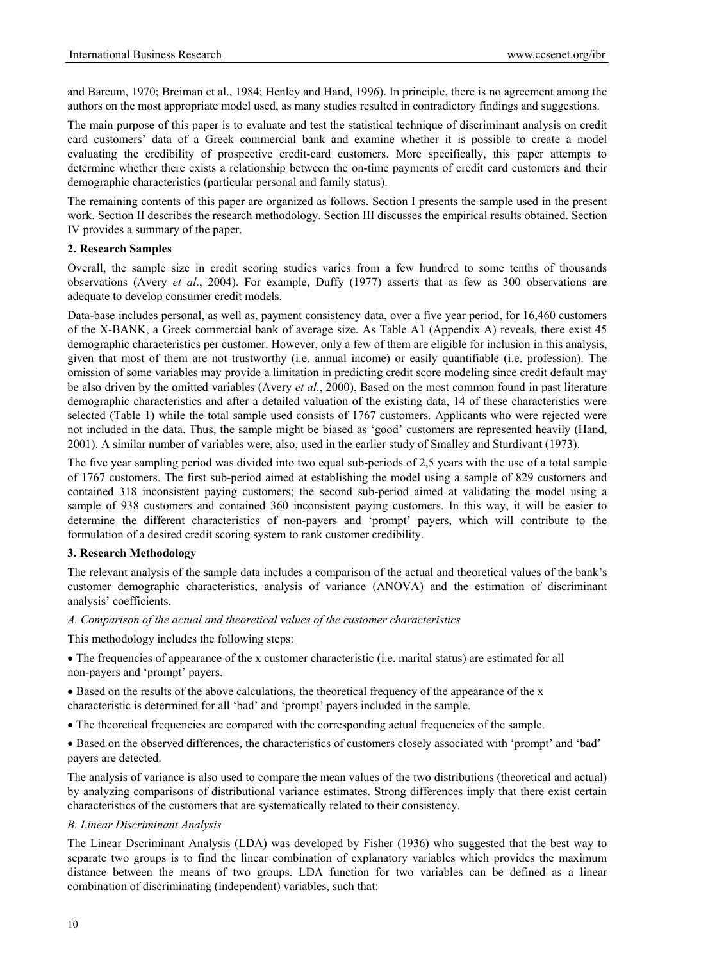and Barcum, 1970; Breiman et al., 1984; Henley and Hand, 1996). In principle, there is no agreement among the authors on the most appropriate model used, as many studies resulted in contradictory findings and suggestions.

The main purpose of this paper is to evaluate and test the statistical technique of discriminant analysis on credit card customers' data of a Greek commercial bank and examine whether it is possible to create a model evaluating the credibility of prospective credit-card customers. More specifically, this paper attempts to determine whether there exists a relationship between the on-time payments of credit card customers and their demographic characteristics (particular personal and family status).

The remaining contents of this paper are organized as follows. Section I presents the sample used in the present work. Section II describes the research methodology. Section III discusses the empirical results obtained. Section IV provides a summary of the paper.

#### **2. Research Samples**

Overall, the sample size in credit scoring studies varies from a few hundred to some tenths of thousands observations (Avery *et al*., 2004). For example, Duffy (1977) asserts that as few as 300 observations are adequate to develop consumer credit models.

Data-base includes personal, as well as, payment consistency data, over a five year period, for 16,460 customers of the X-BANK, a Greek commercial bank of average size. As Table A1 (Appendix A) reveals, there exist 45 demographic characteristics per customer. However, only a few of them are eligible for inclusion in this analysis, given that most of them are not trustworthy (i.e. annual income) or easily quantifiable (i.e. profession). The omission of some variables may provide a limitation in predicting credit score modeling since credit default may be also driven by the omitted variables (Avery *et al*., 2000). Based on the most common found in past literature demographic characteristics and after a detailed valuation of the existing data, 14 of these characteristics were selected (Table 1) while the total sample used consists of 1767 customers. Applicants who were rejected were not included in the data. Thus, the sample might be biased as 'good' customers are represented heavily (Hand, 2001). A similar number of variables were, also, used in the earlier study of Smalley and Sturdivant (1973).

The five year sampling period was divided into two equal sub-periods of 2,5 years with the use of a total sample of 1767 customers. The first sub-period aimed at establishing the model using a sample of 829 customers and contained 318 inconsistent paying customers; the second sub-period aimed at validating the model using a sample of 938 customers and contained 360 inconsistent paying customers. In this way, it will be easier to determine the different characteristics of non-payers and 'prompt' payers, which will contribute to the formulation of a desired credit scoring system to rank customer credibility.

#### **3. Research Methodology**

The relevant analysis of the sample data includes a comparison of the actual and theoretical values of the bank's customer demographic characteristics, analysis of variance (ANOVA) and the estimation of discriminant analysis' coefficients.

#### *A. Comparison of the actual and theoretical values of the customer characteristics*

This methodology includes the following steps:

• The frequencies of appearance of the x customer characteristic (i.e. marital status) are estimated for all non-payers and 'prompt' payers.

• Based on the results of the above calculations, the theoretical frequency of the appearance of the x characteristic is determined for all 'bad' and 'prompt' payers included in the sample.

• The theoretical frequencies are compared with the corresponding actual frequencies of the sample.

• Based on the observed differences, the characteristics of customers closely associated with 'prompt' and 'bad' payers are detected.

The analysis of variance is also used to compare the mean values of the two distributions (theoretical and actual) by analyzing comparisons of distributional variance estimates. Strong differences imply that there exist certain characteristics of the customers that are systematically related to their consistency.

#### *B. Linear Discriminant Analysis*

The Linear Dscriminant Analysis (LDA) was developed by Fisher (1936) who suggested that the best way to separate two groups is to find the linear combination of explanatory variables which provides the maximum distance between the means of two groups. LDA function for two variables can be defined as a linear combination of discriminating (independent) variables, such that: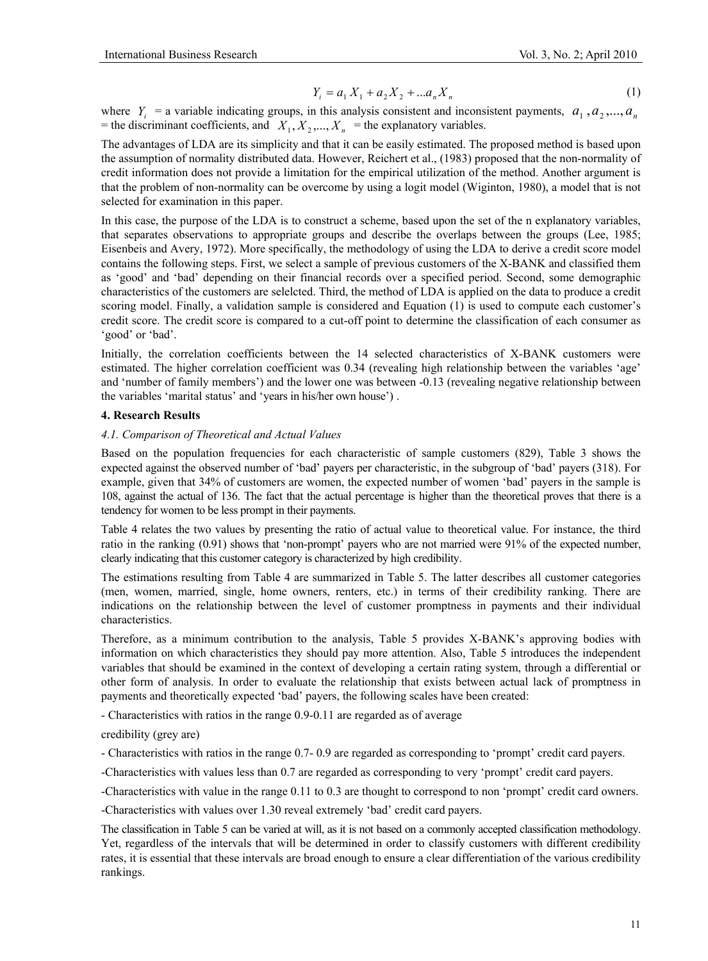$$
Y_i = a_1 X_1 + a_2 X_2 + \dots a_n X_n \tag{1}
$$

where  $Y_i$  = a variable indicating groups, in this analysis consistent and inconsistent payments,  $a_1, a_2, ..., a_n$ = the discriminant coefficients, and  $X_1, X_2, ..., X_n$  = the explanatory variables.

The advantages of LDA are its simplicity and that it can be easily estimated. The proposed method is based upon the assumption of normality distributed data. However, Reichert et al., (1983) proposed that the non-normality of credit information does not provide a limitation for the empirical utilization of the method. Another argument is that the problem of non-normality can be overcome by using a logit model (Wiginton, 1980), a model that is not selected for examination in this paper.

In this case, the purpose of the LDA is to construct a scheme, based upon the set of the n explanatory variables, that separates observations to appropriate groups and describe the overlaps between the groups (Lee, 1985; Eisenbeis and Avery, 1972). More specifically, the methodology of using the LDA to derive a credit score model contains the following steps. First, we select a sample of previous customers of the X-BANK and classified them as 'good' and 'bad' depending on their financial records over a specified period. Second, some demographic characteristics of the customers are selelcted. Third, the method of LDA is applied on the data to produce a credit scoring model. Finally, a validation sample is considered and Equation (1) is used to compute each customer's credit score. The credit score is compared to a cut-off point to determine the classification of each consumer as 'good' or 'bad'.

Initially, the correlation coefficients between the 14 selected characteristics of X-BANK customers were estimated. The higher correlation coefficient was 0.34 (revealing high relationship between the variables 'age' and 'number of family members') and the lower one was between -0.13 (revealing negative relationship between the variables 'marital status' and 'years in his/her own house') .

#### **4. Research Results**

#### *4.1. Comparison of Theoretical and Actual Values*

Based on the population frequencies for each characteristic of sample customers (829), Table 3 shows the expected against the observed number of 'bad' payers per characteristic, in the subgroup of 'bad' payers (318). For example, given that 34% of customers are women, the expected number of women 'bad' payers in the sample is 108, against the actual of 136. The fact that the actual percentage is higher than the theoretical proves that there is a tendency for women to be less prompt in their payments.

Table 4 relates the two values by presenting the ratio of actual value to theoretical value. For instance, the third ratio in the ranking (0.91) shows that 'non-prompt' payers who are not married were 91% of the expected number, clearly indicating that this customer category is characterized by high credibility.

The estimations resulting from Table 4 are summarized in Table 5. The latter describes all customer categories (men, women, married, single, home owners, renters, etc.) in terms of their credibility ranking. There are indications on the relationship between the level of customer promptness in payments and their individual characteristics.

Therefore, as a minimum contribution to the analysis, Table 5 provides X-BANK's approving bodies with information on which characteristics they should pay more attention. Also, Table 5 introduces the independent variables that should be examined in the context of developing a certain rating system, through a differential or other form of analysis. In order to evaluate the relationship that exists between actual lack of promptness in payments and theoretically expected 'bad' payers, the following scales have been created:

- Characteristics with ratios in the range 0.9-0.11 are regarded as of average

credibility (grey are)

- Characteristics with ratios in the range 0.7- 0.9 are regarded as corresponding to 'prompt' credit card payers.

-Characteristics with values less than 0.7 are regarded as corresponding to very 'prompt' credit card payers.

-Characteristics with value in the range 0.11 to 0.3 are thought to correspond to non 'prompt' credit card owners.

-Characteristics with values over 1.30 reveal extremely 'bad' credit card payers.

The classification in Table 5 can be varied at will, as it is not based on a commonly accepted classification methodology. Yet, regardless of the intervals that will be determined in order to classify customers with different credibility rates, it is essential that these intervals are broad enough to ensure a clear differentiation of the various credibility rankings.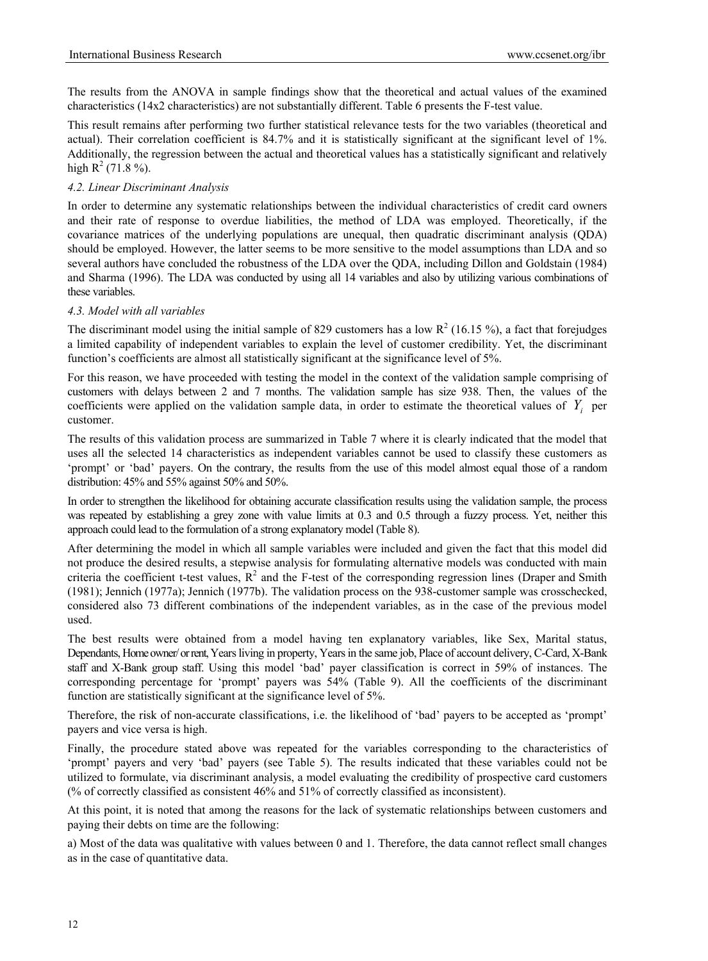The results from the ANOVA in sample findings show that the theoretical and actual values of the examined characteristics (14x2 characteristics) are not substantially different. Table 6 presents the F-test value.

This result remains after performing two further statistical relevance tests for the two variables (theoretical and actual). Their correlation coefficient is 84.7% and it is statistically significant at the significant level of 1%. Additionally, the regression between the actual and theoretical values has a statistically significant and relatively high  $R^2$  (71.8%).

#### *4.2. Linear Discriminant Analysis*

In order to determine any systematic relationships between the individual characteristics of credit card owners and their rate of response to overdue liabilities, the method of LDA was employed. Theoretically, if the covariance matrices of the underlying populations are unequal, then quadratic discriminant analysis (QDA) should be employed. However, the latter seems to be more sensitive to the model assumptions than LDA and so several authors have concluded the robustness of the LDA over the QDA, including Dillon and Goldstain (1984) and Sharma (1996). The LDA was conducted by using all 14 variables and also by utilizing various combinations of these variables.

#### *4.3. Model with all variables*

The discriminant model using the initial sample of 829 customers has a low  $R^2$  (16.15 %), a fact that forejudges a limited capability of independent variables to explain the level of customer credibility. Yet, the discriminant function's coefficients are almost all statistically significant at the significance level of 5%.

For this reason, we have proceeded with testing the model in the context of the validation sample comprising of customers with delays between 2 and 7 months. The validation sample has size 938. Then, the values of the coefficients were applied on the validation sample data, in order to estimate the theoretical values of  $Y_i$  per customer.

The results of this validation process are summarized in Table 7 where it is clearly indicated that the model that uses all the selected 14 characteristics as independent variables cannot be used to classify these customers as 'prompt' or 'bad' payers. On the contrary, the results from the use of this model almost equal those of a random distribution: 45% and 55% against 50% and 50%.

In order to strengthen the likelihood for obtaining accurate classification results using the validation sample, the process was repeated by establishing a grey zone with value limits at 0.3 and 0.5 through a fuzzy process. Yet, neither this approach could lead to the formulation of a strong explanatory model (Table 8).

After determining the model in which all sample variables were included and given the fact that this model did not produce the desired results, a stepwise analysis for formulating alternative models was conducted with main criteria the coefficient t-test values,  $R^2$  and the F-test of the corresponding regression lines (Draper and Smith (1981); Jennich (1977a); Jennich (1977b). The validation process on the 938-customer sample was crosschecked, considered also 73 different combinations of the independent variables, as in the case of the previous model used.

The best results were obtained from a model having ten explanatory variables, like Sex, Marital status, Dependants, Home owner/ or rent, Years living in property, Years in the same job, Place of account delivery, C-Card, X-Bank staff and X-Bank group staff. Using this model 'bad' payer classification is correct in 59% of instances. The corresponding percentage for 'prompt' payers was 54% (Table 9). All the coefficients of the discriminant function are statistically significant at the significance level of 5%.

Therefore, the risk of non-accurate classifications, i.e. the likelihood of 'bad' payers to be accepted as 'prompt' payers and vice versa is high.

Finally, the procedure stated above was repeated for the variables corresponding to the characteristics of 'prompt' payers and very 'bad' payers (see Table 5). The results indicated that these variables could not be utilized to formulate, via discriminant analysis, a model evaluating the credibility of prospective card customers (% of correctly classified as consistent 46% and 51% of correctly classified as inconsistent).

At this point, it is noted that among the reasons for the lack of systematic relationships between customers and paying their debts on time are the following:

a) Most of the data was qualitative with values between 0 and 1. Therefore, the data cannot reflect small changes as in the case of quantitative data.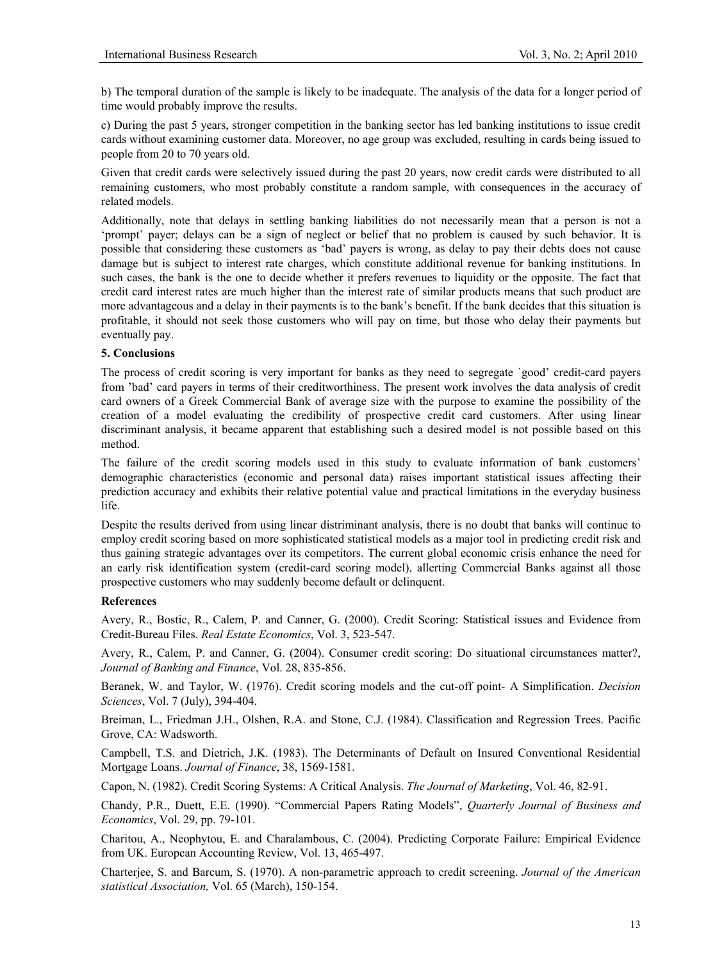b) The temporal duration of the sample is likely to be inadequate. The analysis of the data for a longer period of time would probably improve the results.

c) During the past 5 years, stronger competition in the banking sector has led banking institutions to issue credit cards without examining customer data. Moreover, no age group was excluded, resulting in cards being issued to people from 20 to 70 years old.

Given that credit cards were selectively issued during the past 20 years, now credit cards were distributed to all remaining customers, who most probably constitute a random sample, with consequences in the accuracy of related models.

Additionally, note that delays in settling banking liabilities do not necessarily mean that a person is not a 'prompt' payer; delays can be a sign of neglect or belief that no problem is caused by such behavior. It is possible that considering these customers as 'bad' payers is wrong, as delay to pay their debts does not cause damage but is subject to interest rate charges, which constitute additional revenue for banking institutions. In such cases, the bank is the one to decide whether it prefers revenues to liquidity or the opposite. The fact that credit card interest rates are much higher than the interest rate of similar products means that such product are more advantageous and a delay in their payments is to the bank's benefit. If the bank decides that this situation is profitable, it should not seek those customers who will pay on time, but those who delay their payments but eventually pay.

#### **5. Conclusions**

The process of credit scoring is very important for banks as they need to segregate `good' credit-card payers from 'bad' card payers in terms of their creditworthiness. The present work involves the data analysis of credit card owners of a Greek Commercial Bank of average size with the purpose to examine the possibility of the creation of a model evaluating the credibility of prospective credit card customers. After using linear discriminant analysis, it became apparent that establishing such a desired model is not possible based on this method.

The failure of the credit scoring models used in this study to evaluate information of bank customers' demographic characteristics (economic and personal data) raises important statistical issues affecting their prediction accuracy and exhibits their relative potential value and practical limitations in the everyday business life.

Despite the results derived from using linear distriminant analysis, there is no doubt that banks will continue to employ credit scoring based on more sophisticated statistical models as a major tool in predicting credit risk and thus gaining strategic advantages over its competitors. The current global economic crisis enhance the need for an early risk identification system (credit-card scoring model), allerting Commercial Banks against all those prospective customers who may suddenly become default or delinquent.

#### **References**

Avery, R., Bostic, R., Calem, P. and Canner, G. (2000). Credit Scoring: Statistical issues and Evidence from Credit-Bureau Files. *Real Estate Economics*, Vol. 3, 523-547.

Avery, R., Calem, P. and Canner, G. (2004). Consumer credit scoring: Do situational circumstances matter?, *Journal of Banking and Finance*, Vol. 28, 835-856.

Beranek, W. and Taylor, W. (1976). Credit scoring models and the cut-off point- A Simplification. *Decision Sciences*, Vol. 7 (July), 394-404.

Breiman, L., Friedman J.H., Olshen, R.A. and Stone, C.J. (1984). Classification and Regression Trees. Pacific Grove, CA: Wadsworth.

Campbell, T.S. and Dietrich, J.K. (1983). The Determinants of Default on Insured Conventional Residential Mortgage Loans. *Journal of Finance*, 38, 1569-1581.

Capon, N. (1982). Credit Scoring Systems: A Critical Analysis. *The Journal of Marketing*, Vol. 46, 82-91.

Chandy, P.R., Duett, E.E. (1990). "Commercial Papers Rating Models", *Quarterly Journal of Business and Economics*, Vol. 29, pp. 79-101.

Charitou, A., Neophytou, E. and Charalambous, C. (2004). Predicting Corporate Failure: Empirical Evidence from UK. European Accounting Review, Vol. 13, 465-497.

Charterjee, S. and Barcum, S. (1970). A non-parametric approach to credit screening. *Journal of the American statistical Association,* Vol. 65 (March), 150-154.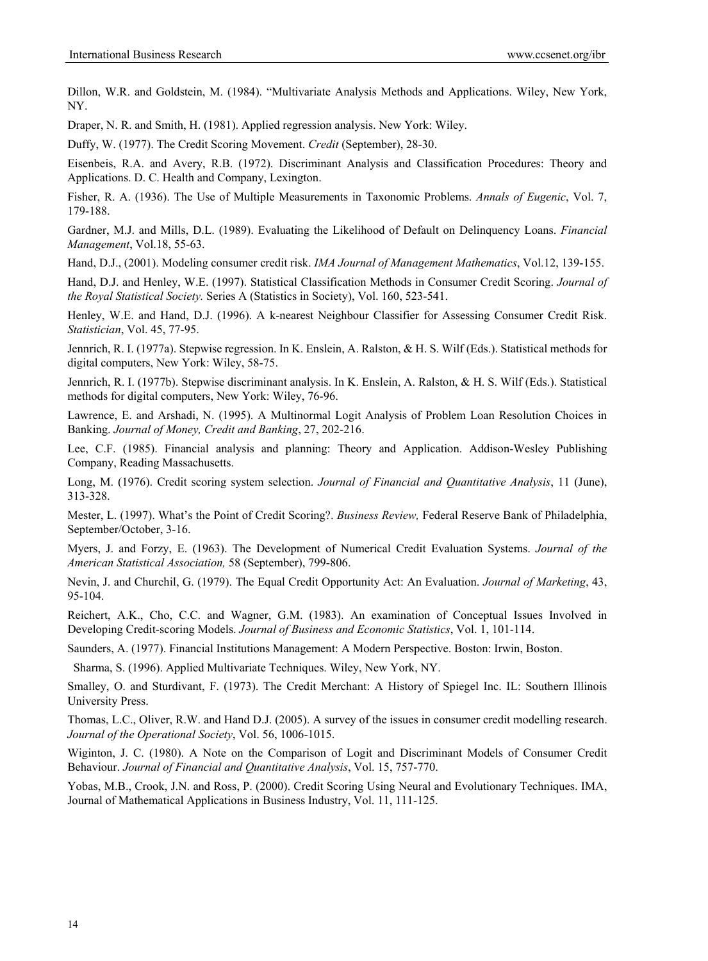Dillon, W.R. and Goldstein, M. (1984). "Multivariate Analysis Methods and Applications. Wiley, New York, NY.

Draper, N. R. and Smith, H. (1981). Applied regression analysis. New York: Wiley.

Duffy, W. (1977). The Credit Scoring Movement. *Credit* (September), 28-30.

Eisenbeis, R.A. and Avery, R.B. (1972). Discriminant Analysis and Classification Procedures: Theory and Applications. D. C. Health and Company, Lexington.

Fisher, R. A. (1936). The Use of Multiple Measurements in Taxonomic Problems. *Annals of Eugenic*, Vol. 7, 179-188.

Gardner, M.J. and Mills, D.L. (1989). Evaluating the Likelihood of Default on Delinquency Loans. *Financial Management*, Vol.18, 55-63.

Hand, D.J., (2001). Modeling consumer credit risk. *IMA Journal of Management Mathematics*, Vol.12, 139-155.

Hand, D.J. and Henley, W.E. (1997). Statistical Classification Methods in Consumer Credit Scoring. *Journal of the Royal Statistical Society.* Series A (Statistics in Society), Vol. 160, 523-541.

Henley, W.E. and Hand, D.J. (1996). A k-nearest Neighbour Classifier for Assessing Consumer Credit Risk. *Statistician*, Vol. 45, 77-95.

Jennrich, R. I. (1977a). Stepwise regression. In K. Enslein, A. Ralston, & H. S. Wilf (Eds.). Statistical methods for digital computers, New York: Wiley, 58-75.

Jennrich, R. I. (1977b). Stepwise discriminant analysis. In K. Enslein, A. Ralston, & H. S. Wilf (Eds.). Statistical methods for digital computers, New York: Wiley, 76-96.

Lawrence, E. and Arshadi, N. (1995). A Multinormal Logit Analysis of Problem Loan Resolution Choices in Banking. *Journal of Money, Credit and Banking*, 27, 202-216.

Lee, C.F. (1985). Financial analysis and planning: Theory and Application. Addison-Wesley Publishing Company, Reading Massachusetts.

Long, M. (1976). Credit scoring system selection. *Journal of Financial and Quantitative Analysis*, 11 (June), 313-328.

Mester, L. (1997). What's the Point of Credit Scoring?. *Business Review,* Federal Reserve Bank of Philadelphia, September/October, 3-16.

Myers, J. and Forzy, E. (1963). The Development of Numerical Credit Evaluation Systems. *Journal of the American Statistical Association,* 58 (September), 799-806.

Nevin, J. and Churchil, G. (1979). The Equal Credit Opportunity Act: An Evaluation. *Journal of Marketing*, 43, 95-104.

Reichert, A.K., Cho, C.C. and Wagner, G.M. (1983). An examination of Conceptual Issues Involved in Developing Credit-scoring Models. *Journal of Business and Economic Statistics*, Vol. 1, 101-114.

Saunders, A. (1977). Financial Institutions Management: A Modern Perspective. Boston: Irwin, Boston.

Sharma, S. (1996). Applied Multivariate Techniques. Wiley, New York, NY.

Smalley, O. and Sturdivant, F. (1973). The Credit Merchant: A History of Spiegel Inc. IL: Southern Illinois University Press.

Thomas, L.C., Oliver, R.W. and Hand D.J. (2005). A survey of the issues in consumer credit modelling research. *Journal of the Operational Society*, Vol. 56, 1006-1015.

Wiginton, J. C. (1980). A Note on the Comparison of Logit and Discriminant Models of Consumer Credit Behaviour. *Journal of Financial and Quantitative Analysis*, Vol. 15, 757-770.

Yobas, M.B., Crook, J.N. and Ross, P. (2000). Credit Scoring Using Neural and Evolutionary Techniques. IMA, Journal of Mathematical Applications in Business Industry, Vol. 11, 111-125.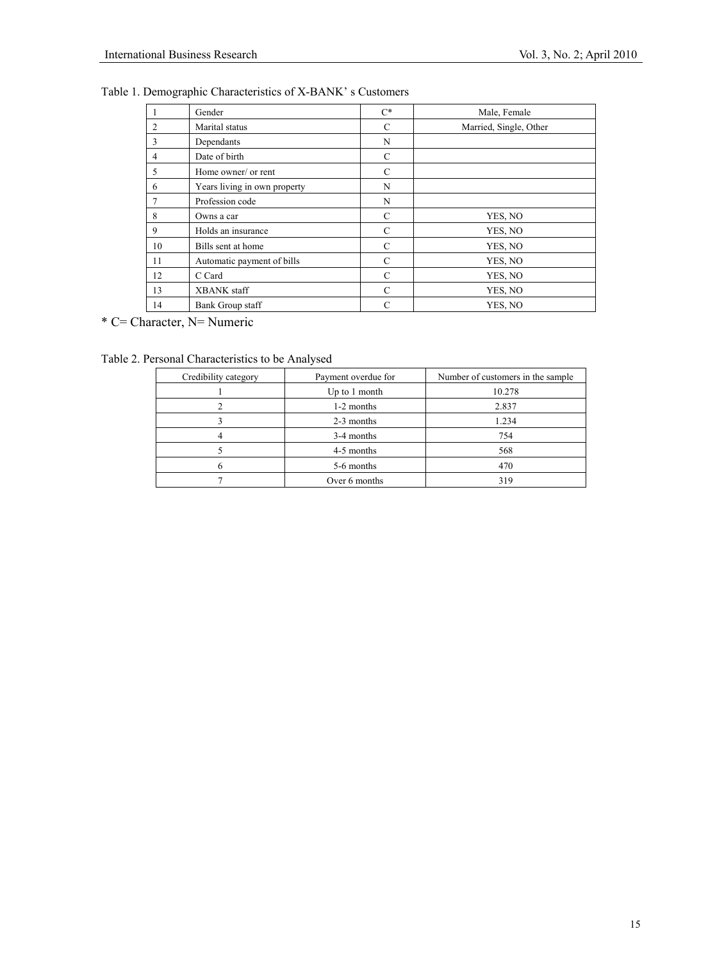| Table 1. Demographic Characteristics of X-BANK's Customers |  |  |  |
|------------------------------------------------------------|--|--|--|
|------------------------------------------------------------|--|--|--|

|                | Gender                       | $C^*$         | Male, Female           |
|----------------|------------------------------|---------------|------------------------|
| $\overline{2}$ | Marital status               | $\mathcal{C}$ | Married, Single, Other |
| 3              | Dependants                   | N             |                        |
| $\overline{4}$ | Date of birth                | C             |                        |
| 5              | Home owner/ or rent          | $\mathcal{C}$ |                        |
| 6              | Years living in own property | N             |                        |
| 7              | Profession code              | N             |                        |
| 8              | Owns a car                   | C             | YES, NO                |
| 9              | Holds an insurance           | C             | YES, NO                |
| 10             | Bills sent at home           | C             | YES, NO                |
| 11             | Automatic payment of bills   | $\mathcal{C}$ | YES, NO                |
| 12             | C Card                       | C             | YES, NO                |
| 13             | <b>XBANK</b> staff           | C             | YES, NO                |
| 14             | Bank Group staff             | $\mathcal{C}$ | YES, NO                |

\* C= Character, N= Numeric

Table 2. Personal Characteristics to be Analysed

| Credibility category | Payment overdue for | Number of customers in the sample |
|----------------------|---------------------|-----------------------------------|
|                      | Up to 1 month       | 10.278                            |
|                      | 1-2 months          | 2.837                             |
|                      | 2-3 months          | 1.234                             |
|                      | 3-4 months          | 754                               |
|                      | 4-5 months          | 568                               |
|                      | 5-6 months          | 470                               |
|                      | Over 6 months       | 319                               |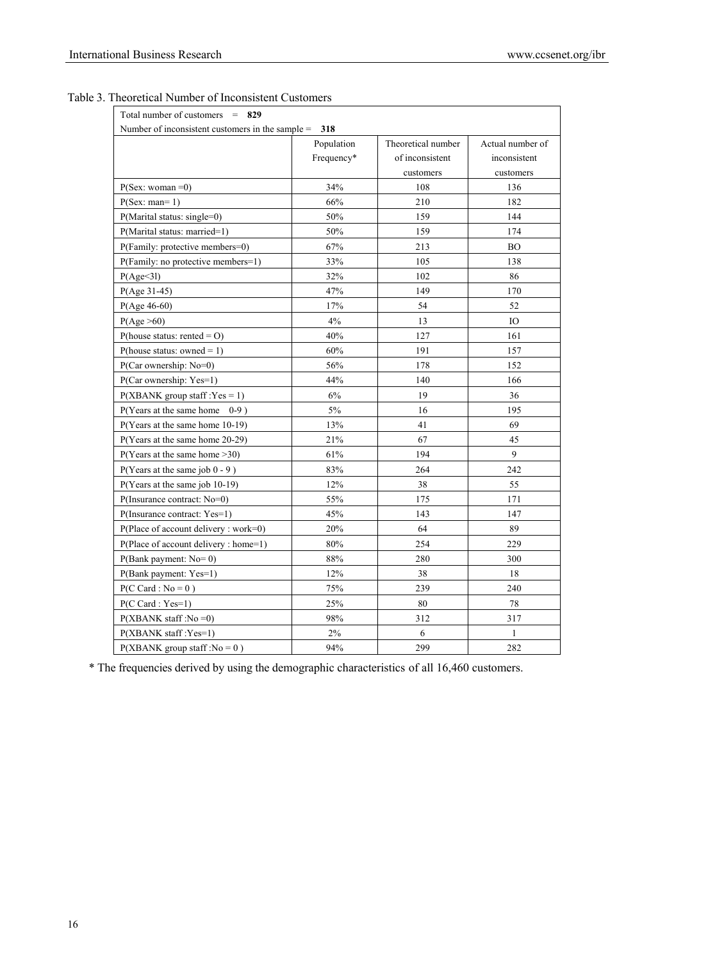| Total number of customers $= 829$                      |            |                    |                  |  |  |
|--------------------------------------------------------|------------|--------------------|------------------|--|--|
| Number of inconsistent customers in the sample $= 318$ |            |                    |                  |  |  |
|                                                        | Population | Theoretical number | Actual number of |  |  |
|                                                        | Frequency* | of inconsistent    | inconsistent     |  |  |
|                                                        |            | customers          | customers        |  |  |
| $P(Sex: woman=0)$                                      | 34%        | 108                | 136              |  |  |
| $P(Sex: man=1)$                                        | 66%        | 210                | 182              |  |  |
| $P(Marital status: single=0)$                          | 50%        | 159                | 144              |  |  |
| P(Marital status: married=1)                           | 50%        | 159                | 174              |  |  |
| P(Family: protective members=0)                        | 67%        | 213                | <b>BO</b>        |  |  |
| P(Family: no protective members=1)                     | 33%        | 105                | 138              |  |  |
| P(Age<31)                                              | 32%        | 102                | 86               |  |  |
| $P(Age 31-45)$                                         | 47%        | 149                | 170              |  |  |
| $P(Age 46-60)$                                         | 17%        | 54                 | 52               |  |  |
| P(Age >60)                                             | $4\%$      | 13                 | IO               |  |  |
| P(house status: rented = $O$ )                         | 40%        | 127                | 161              |  |  |
| P(house status: owned = $1$ )                          | 60%        | 191                | 157              |  |  |
| P(Car ownership: No=0)                                 | 56%        | 178                | 152              |  |  |
| P(Car ownership: Yes=1)                                | 44%        | 140                | 166              |  |  |
| $P(XBANK group staff:Yes = 1)$                         | 6%         | 19                 | 36               |  |  |
| P(Years at the same home<br>$0-9)$                     | 5%         | 16                 | 195              |  |  |
| P(Years at the same home 10-19)                        | 13%        | 41                 | 69               |  |  |
| P(Years at the same home 20-29)                        | 21%        | 67                 | 45               |  |  |
| P(Years at the same home >30)                          | 61%        | 194                | 9                |  |  |
| $P(Years at the same job 0 - 9)$                       | 83%        | 264                | 242              |  |  |
| $P(Years at the same job 10-19)$                       | 12%        | 38                 | 55               |  |  |
| P(Insurance contract: No=0)                            | 55%        | 175                | 171              |  |  |
| P(Insurance contract: Yes=1)                           | 45%        | 143                | 147              |  |  |
| P(Place of account delivery : work=0)                  | $20\%$     | 64                 | 89               |  |  |
| P(Place of account delivery : home=1)                  | $80\%$     | 254                | 229              |  |  |
| $P(Bank payment: No=0)$                                | 88%        | 280                | 300              |  |  |
| P(Bank payment: Yes=1)                                 | 12%        | 38                 | 18               |  |  |
| $P(C \text{ Card}: No = 0)$                            | 75%        | 239                | 240              |  |  |
| $P(C \text{ Card}: Yes=1)$                             | 25%        | 80                 | 78               |  |  |
| $P(XBANK\,\text{staff}:No=0)$                          | 98%        | 312                | 317              |  |  |
| $P(XBANK\, \text{staff} : Yes=1)$                      | $2\%$      | 6                  | 1                |  |  |
| $P(XBANK group staff: No = 0)$                         | 94%        | 299                | 282              |  |  |

#### Table 3. Theoretical Number of Inconsistent Customers

\* The frequencies derived by using the demographic characteristics of all 16,460 customers.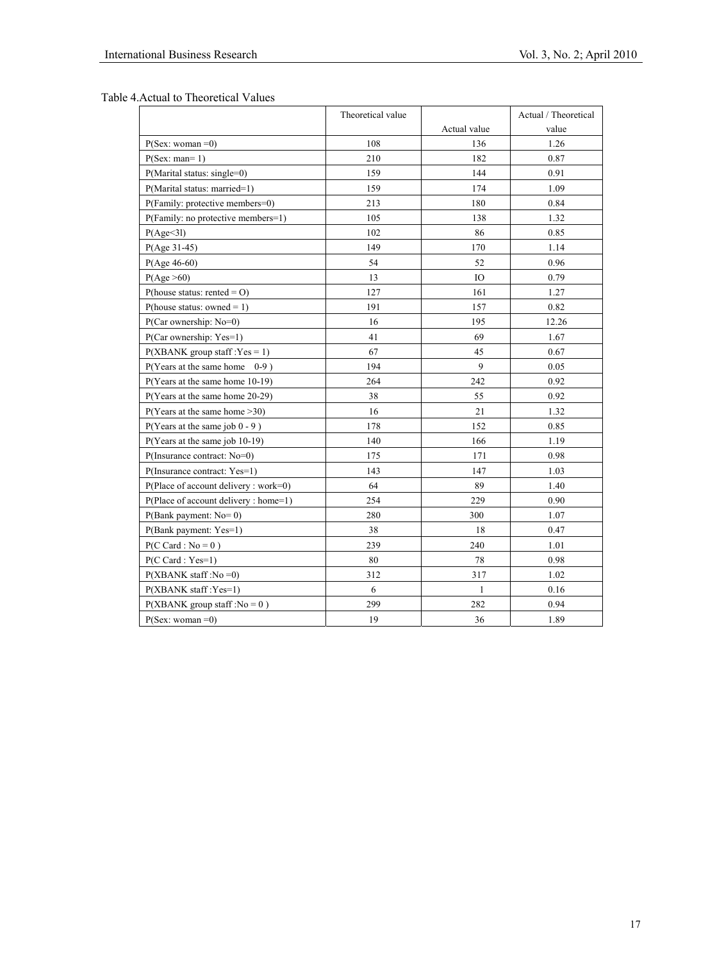Table 4.Actual to Theoretical Values

|                                         | Theoretical value |              | Actual / Theoretical |
|-----------------------------------------|-------------------|--------------|----------------------|
|                                         |                   | Actual value | value                |
| $P(Sex: woman=0)$                       | 108               | 136          | 1.26                 |
| $P(Sex: man=1)$                         | 210               | 182          | 0.87                 |
| $P(Marital status: single=0)$           | 159               | 144          | 0.91                 |
| P(Marital status: married=1)            | 159               | 174          | 1.09                 |
| P(Family: protective members=0)         | 213               | 180          | 0.84                 |
| P(Family: no protective members=1)      | 105               | 138          | 1.32                 |
| P(Age<31)                               | 102               | 86           | 0.85                 |
| $P(Age 31-45)$                          | 149               | 170          | 1.14                 |
| $P(Age 46-60)$                          | 54                | 52           | 0.96                 |
| P(Age >60)                              | 13                | IO           | 0.79                 |
| P(house status: rented = $O$ )          | 127               | 161          | 1.27                 |
| P(house status: owned = 1)              | 191               | 157          | 0.82                 |
| $P(Car ownership: No=0)$                | 16                | 195          | 12.26                |
| P(Car ownership: Yes=1)                 | 41                | 69           | 1.67                 |
| $P(XBANK group staff:Yes = 1)$          | 67                | 45           | 0.67                 |
| $P(Years at the same home 0-9)$         | 194               | 9            | 0.05                 |
| P(Years at the same home 10-19)         | 264               | 242          | 0.92                 |
| P(Years at the same home 20-29)         | 38                | 55           | 0.92                 |
| P(Years at the same home > 30)          | 16                | 21           | 1.32                 |
| $P(Years at the same job 0 - 9)$        | 178               | 152          | 0.85                 |
| $P(Years at the same job 10-19)$        | 140               | 166          | 1.19                 |
| $P( Insurance contract: No=0)$          | 175               | 171          | 0.98                 |
| P(Insurance contract: Yes=1)            | 143               | 147          | 1.03                 |
| $P(Place of account delivery : work=0)$ | 64                | 89           | 1.40                 |
| P(Place of account delivery : home=1)   | 254               | 229          | 0.90                 |
| $P(Bank payment: No=0)$                 | 280               | 300          | 1.07                 |
| P(Bank payment: Yes=1)                  | 38                | 18           | 0.47                 |
| $P(C \text{ Card} : \text{No} = 0)$     | 239               | 240          | 1.01                 |
| $P(C \text{ Card}: Yes=1)$              | 80                | 78           | 0.98                 |
| $P(XBANK\,\text{staff}:No=0)$           | 312               | 317          | 1.02                 |
| $P(XBANK\, \text{staff} : Yes=1)$       | 6                 | 1            | 0.16                 |
| $P(XBANK group staff : No = 0)$         | 299               | 282          | 0.94                 |
| $P(Sex: woman=0)$                       | 19                | 36           | 1.89                 |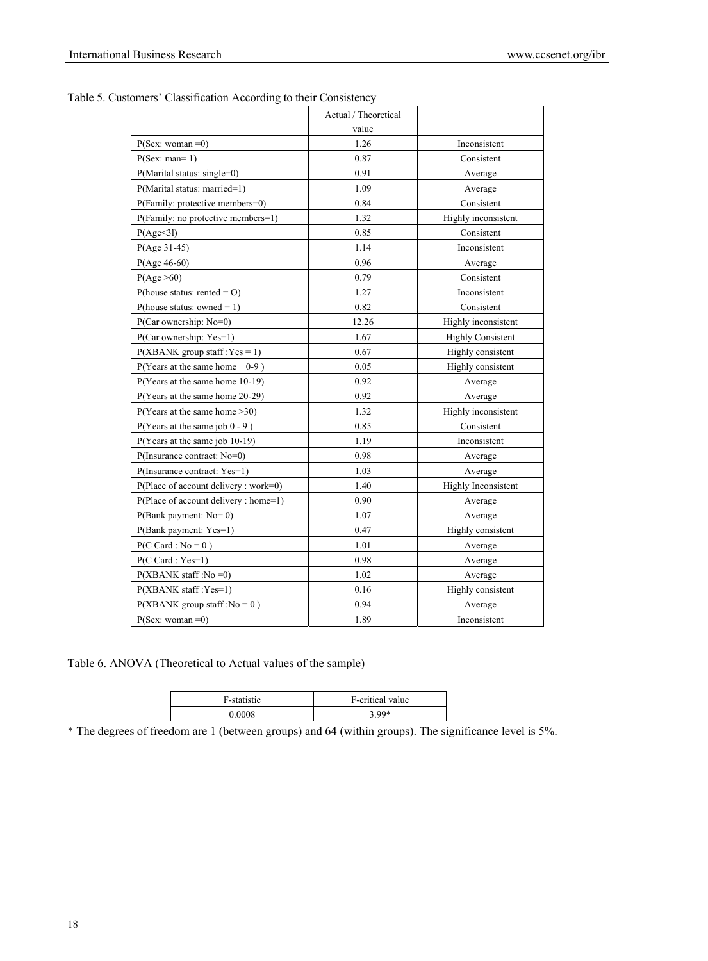|                                         | Actual / Theoretical |                          |
|-----------------------------------------|----------------------|--------------------------|
|                                         | value                |                          |
| $P(Sex: woman=0)$                       | 1.26                 | Inconsistent             |
| $P(Sex: man=1)$                         | 0.87                 | Consistent               |
| $P(Marital status: single=0)$           | 0.91                 | Average                  |
| P(Marital status: married=1)            | 1.09                 | Average                  |
| P(Family: protective members=0)         | 0.84                 | Consistent               |
| P(Family: no protective members=1)      | 1.32                 | Highly inconsistent      |
| P(Age<31)                               | 0.85                 | Consistent               |
| $P(Age 31-45)$                          | 1.14                 | Inconsistent             |
| $P(Age 46-60)$                          | 0.96                 | Average                  |
| P(Age >60)                              | 0.79                 | Consistent               |
| P(house status: rented = $O$ )          | 1.27                 | Inconsistent             |
| P(house status: owned = 1)              | 0.82                 | Consistent               |
| P(Car ownership: No=0)                  | 12.26                | Highly inconsistent      |
| P(Car ownership: Yes=1)                 | 1.67                 | <b>Highly Consistent</b> |
| $P(XBANK group staff:Yes = 1)$          | 0.67                 | Highly consistent        |
| $P(Years at the same home 0-9)$         | 0.05                 | Highly consistent        |
| $P(Years at the same home 10-19)$       | 0.92                 | Average                  |
| P(Years at the same home 20-29)         | 0.92                 | Average                  |
| P(Years at the same home >30)           | 1.32                 | Highly inconsistent      |
| $P(Years at the same job 0 - 9)$        | 0.85                 | Consistent               |
| $P(Years at the same job 10-19)$        | 1.19                 | Inconsistent             |
| P(Insurance contract: No=0)             | 0.98                 | Average                  |
| P(Insurance contract: Yes=1)            | 1.03                 | Average                  |
| $P(Place of account delivery : work=0)$ | 1.40                 | Highly Inconsistent      |
| P(Place of account delivery : home=1)   | 0.90                 | Average                  |
| $P(Bank payment: No=0)$                 | 1.07                 | Average                  |
| P(Bank payment: Yes=1)                  | 0.47                 | Highly consistent        |
| $P(C \text{ Card}: No = 0)$             | 1.01                 | Average                  |
| $P(C \text{ Card}: Yes=1)$              | 0.98                 | Average                  |
| $P(XBANK\,\text{staff}:No=0)$           | 1.02                 | Average                  |
| $P(XBANK\, \text{staff}:Yes=1)$         | 0.16                 | Highly consistent        |
| $P(XBANK group staff : No = 0)$         | 0.94                 | Average                  |
| $P(Sex: woman=0)$                       | 1.89                 | Inconsistent             |

Table 5. Customers' Classification According to their Consistency

Table 6. ANOVA (Theoretical to Actual values of the sample)

| F-statistic | F-critical value |
|-------------|------------------|
| 0.0008      | $3.99*$          |

\* The degrees of freedom are 1 (between groups) and 64 (within groups). The significance level is 5%.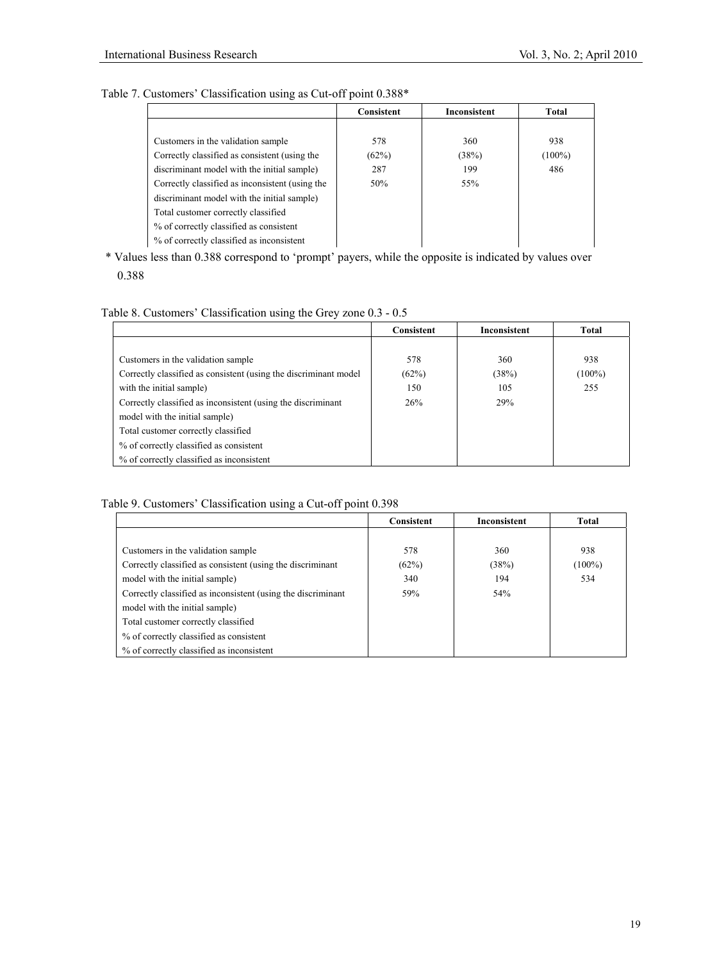## Table 7. Customers' Classification using as Cut-off point 0.388\*

|                                                 | Consistent | Inconsistent | Total     |
|-------------------------------------------------|------------|--------------|-----------|
|                                                 |            |              |           |
| Customers in the validation sample              | 578        | 360          | 938       |
| Correctly classified as consistent (using the   | (62%)      | (38%)        | $(100\%)$ |
| discriminant model with the initial sample)     | 287        | 199          | 486       |
| Correctly classified as inconsistent (using the | 50%        | 55%          |           |
| discriminant model with the initial sample)     |            |              |           |
| Total customer correctly classified             |            |              |           |
| % of correctly classified as consistent         |            |              |           |
| % of correctly classified as inconsistent       |            |              |           |

\* Values less than 0.388 correspond to 'prompt' payers, while the opposite is indicated by values over 0.388

#### Table 8. Customers' Classification using the Grey zone 0.3 - 0.5

|                                                                  | Consistent | Inconsistent | Total     |
|------------------------------------------------------------------|------------|--------------|-----------|
|                                                                  |            |              |           |
| Customers in the validation sample                               | 578        | 360          | 938       |
| Correctly classified as consistent (using the discriminant model | (62%)      | (38%)        | $(100\%)$ |
| with the initial sample)                                         | 150        | 105          | 255       |
| Correctly classified as inconsistent (using the discriminant     | 26%        | 29%          |           |
| model with the initial sample)                                   |            |              |           |
| Total customer correctly classified                              |            |              |           |
| % of correctly classified as consistent                          |            |              |           |
| % of correctly classified as inconsistent                        |            |              |           |

## Table 9. Customers' Classification using a Cut-off point 0.398

|                                                              | Consistent | Inconsistent | Total     |
|--------------------------------------------------------------|------------|--------------|-----------|
|                                                              |            |              |           |
| Customers in the validation sample                           | 578        | 360          | 938       |
| Correctly classified as consistent (using the discriminant   | (62%)      | (38%)        | $(100\%)$ |
| model with the initial sample)                               | 340        | 194          | 534       |
| Correctly classified as inconsistent (using the discriminant | 59%        | 54%          |           |
| model with the initial sample)                               |            |              |           |
| Total customer correctly classified                          |            |              |           |
| % of correctly classified as consistent                      |            |              |           |
| % of correctly classified as inconsistent                    |            |              |           |